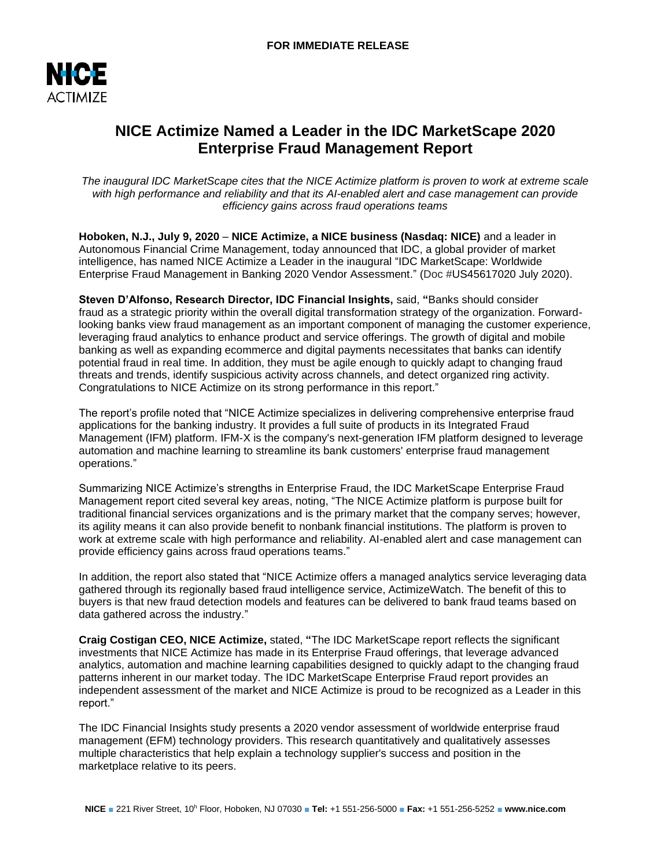

# **NICE Actimize Named a Leader in the IDC MarketScape 2020 Enterprise Fraud Management Report**

*The inaugural IDC MarketScape cites that the NICE Actimize platform is proven to work at extreme scale with high performance and reliability and that its AI-enabled alert and case management can provide efficiency gains across fraud operations teams*

**Hoboken, N.J., July 9, 2020** – **NICE Actimize, a NICE business (Nasdaq: NICE)** and a leader in Autonomous Financial Crime Management, today announced that IDC, a global provider of market intelligence, has named NICE Actimize a Leader in the inaugural "IDC MarketScape: Worldwide Enterprise Fraud Management in Banking 2020 Vendor Assessment." (Doc #US45617020 July 2020).

**Steven D'Alfonso, Research Director, IDC Financial Insights,** said, **"**Banks should consider fraud as a strategic priority within the overall digital transformation strategy of the organization. Forwardlooking banks view fraud management as an important component of managing the customer experience, leveraging fraud analytics to enhance product and service offerings. The growth of digital and mobile banking as well as expanding ecommerce and digital payments necessitates that banks can identify potential fraud in real time. In addition, they must be agile enough to quickly adapt to changing fraud threats and trends, identify suspicious activity across channels, and detect organized ring activity. Congratulations to NICE Actimize on its strong performance in this report."

The report's profile noted that "NICE Actimize specializes in delivering comprehensive enterprise fraud applications for the banking industry. It provides a full suite of products in its Integrated Fraud Management (IFM) platform. IFM-X is the company's next-generation IFM platform designed to leverage automation and machine learning to streamline its bank customers' enterprise fraud management operations."

Summarizing NICE Actimize's strengths in Enterprise Fraud, the IDC MarketScape Enterprise Fraud Management report cited several key areas, noting, "The NICE Actimize platform is purpose built for traditional financial services organizations and is the primary market that the company serves; however, its agility means it can also provide benefit to nonbank financial institutions. The platform is proven to work at extreme scale with high performance and reliability. AI-enabled alert and case management can provide efficiency gains across fraud operations teams."

In addition, the report also stated that "NICE Actimize offers a managed analytics service leveraging data gathered through its regionally based fraud intelligence service, ActimizeWatch. The benefit of this to buyers is that new fraud detection models and features can be delivered to bank fraud teams based on data gathered across the industry."

**Craig Costigan CEO, NICE Actimize,** stated, **"**The IDC MarketScape report reflects the significant investments that NICE Actimize has made in its Enterprise Fraud offerings, that leverage advanced analytics, automation and machine learning capabilities designed to quickly adapt to the changing fraud patterns inherent in our market today. The IDC MarketScape Enterprise Fraud report provides an independent assessment of the market and NICE Actimize is proud to be recognized as a Leader in this report."

The IDC Financial Insights study presents a 2020 vendor assessment of worldwide enterprise fraud management (EFM) technology providers. This research quantitatively and qualitatively assesses multiple characteristics that help explain a technology supplier's success and position in the marketplace relative to its peers.